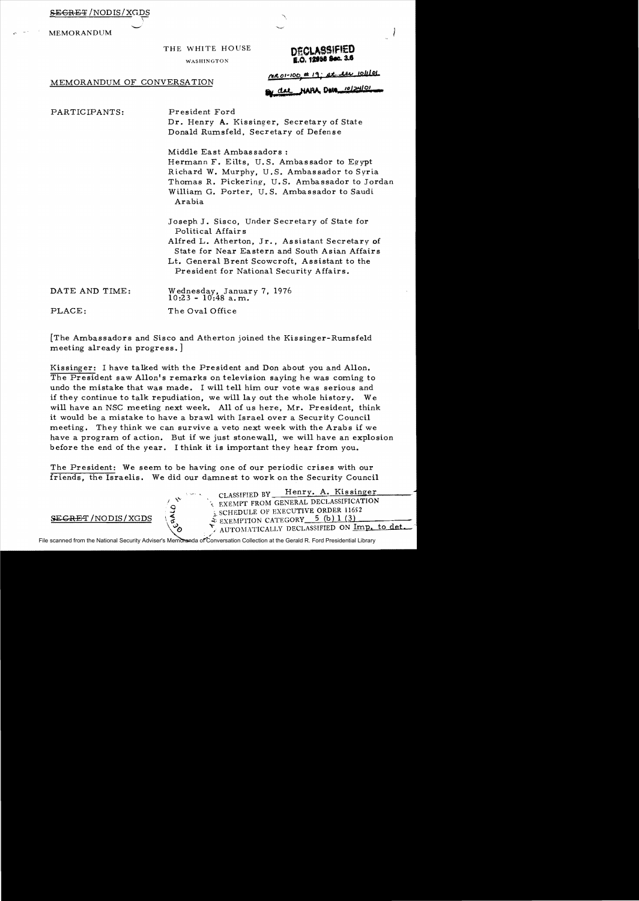| <del>SECRET</del> /NODIS/XGDS |  |
|-------------------------------|--|
|                               |  |

MEMORANDUM

### THE WHITE HOUSE **DECLASSIFIED**

## WASHINGTON **E.O. 12956 Sec. 3.6**

MRO1-100 # 19; at the 10/11 left

MEMORANDUM OF CONVERSATION

del NAPA Data 10124101

PARTICIPANTS: President Ford

Dr. Henry **A.** Kissinger, Secretary of State Donald Rumsfeld, Secretary of Defense

Middle East Ambassadors: Hermann F. Eilts, U.S. Ambassador to Egypt Richard W. Murphy, U.S. Ambassador to Syria Thomas R. Pickering, U.S. Ambassador to Jordan William G. Porter, U. S. Ambassador to Saudi Arabia

Joseph J. Sisco, Under Secretary of State for Political Affairs Alfred L. Atherton, Jr., Assistant Secretary of State for Near Eastern and South Asian Affairs Lt. General Brent Scowcroft, Assistant to the President for National Security Affairs.

| DATE AND TIME:                  | Wednesday, January 7, 1976<br>10:23 - 10:48 a.m. |
|---------------------------------|--------------------------------------------------|
| $\mathop{\rm PLACE}\nolimits$ : | The Oval Office                                  |

[The Ambassadors and Sisco and Atherton joined the Kissinger-Rumsfeld meeting already in progress. ]

Kissinger: I have talked with the President and Don about you and Allon. The President saw Allon's remarks on television saying he was coming to undo the mistake that was made. I will tell him our vote was serious and if they continue to talk repudiation, we will lay out the whole history. We will have an NSC meeting next week. All of us here, Mr. President, think it would be a mistake to have a brawl with Israel over a Security Council meeting. They think we can survive a veto next week with the Arabs if we have a program of action. But if we just stonewall, we will have an explosion before the end of the year. I think it is important they hear from you.

The President: We seem to be having one of our periodic crises with our friends, the Israelis. We did our damnest to work on the Security Council

> CLASSIFIED BY Henry. A. Kissinger  $\frac{1}{2}$  SCHEDULE OF EXECUTIVE ORDER 11652  $S/NODIS/XGDS \left( \frac{1}{6} \right)$   $\frac{1}{2}$   $\frac{1}{2}$   $\frac{1}{2}$   $\frac{1}{2}$   $\frac{1}{2}$ AUTOMATICALLY DECLASSIFIED ON Imp. to det.

File scanned from the National Security Adviser's Memoranda of Conversation Collection at the Gerald R. Ford Presidential Library .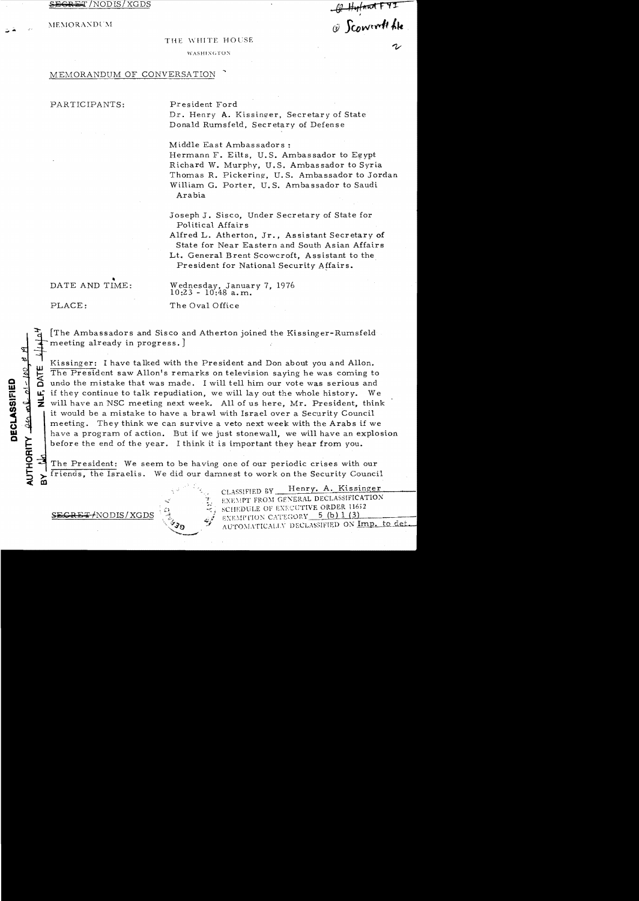$\frac{1}{2}$  /NODIS/XGDS  $\frac{1}{2}$  /Modis/XGDS

:'IIE:'I 0 Rr\:'\ D L\l *rj) )eoWtvr#t* **tk** 

#### THE WHITE HOUSE

WASHINGTON

#### MEMORANDUM OF CONVERSATION

#### PARTICIPANTS: President Ford

Dr. Henry A. Kissinger, Secretary of State Donald Rumsfeld, Secretary of Defense

Middle East Ambassadors: Hermann F. Eilts, U.S. Ambassador to Egypt Richard W. Murphy, U. S. Ambassador to Syria Thomas R. Pickering. U.S. Ambassador to Jordan William G. Porter, U. S. Ambassador to Saudi Arabia

Joseph J. Sisco, Under Secretary of State for Political Affairs

Alfred L. Atherton, Jr., Assistant Secretary of State for Near Eastern and South Asian Affairs Lt. General Brent Scowcroft, Assistant to the

President for National Security Affairs.

,

DATE AND TIME: Wednesday, January 7, 1976  $10:23 - 10:48$  a.m.

PLACE: The Oval Office

[The Ambassadors and Sisco and Atherton joined the Kissinger-Rumsfeld meeting already in progress.]

Kissinger: I have talked with the President and Don about you and Allon.  $\overline{L}$  The President saw Allon's remarks on television saying he was coming to undo the mistake that was made. I will tell him our vote was serious and Example 1 Existing er: I have talked with the President and Don about you and Allon.<br>
The President saw Allon's remarks on television saying he was coming to<br>  $\frac{1}{2}$  and the mistake that was made. I will tell him our vo  $\mathbf{u}^*$  if they continue to talk repudiation, we will lay out the whole history. We  $\mathbf{v}$  will have an NSC meeting next week. All of us here, Mr. President, think it would be a mistake to have a brawl with Israel over a Security Council meeting. They think we can survive a veto next week with the Arabs if we have a program of action. But if we just stonewall, we will have an explosion before the end of the year. I think it is important they hear from you.

The President: We seem to be having one of our periodic crises with our Iriends, the Israelis. We did our damnest to work on the Security Council ~ to

T

~CRE:" *fNODIS/XGDS* 

CLASSIFIED BY Henry. A. Kissinger EXEMPT FROM GENERAL DECLASSIFICATION<br>SCHEDULE OF EXECUTIVE ORDER 11652<br>EXEMPTION CATEGORY 5 (b) 1 (3) AUTOMATICALLY DECLASSIFIED ON Imp. to det

# $\boldsymbol{\varOmega}$ '"

 $\overline{\mathbf{r}}$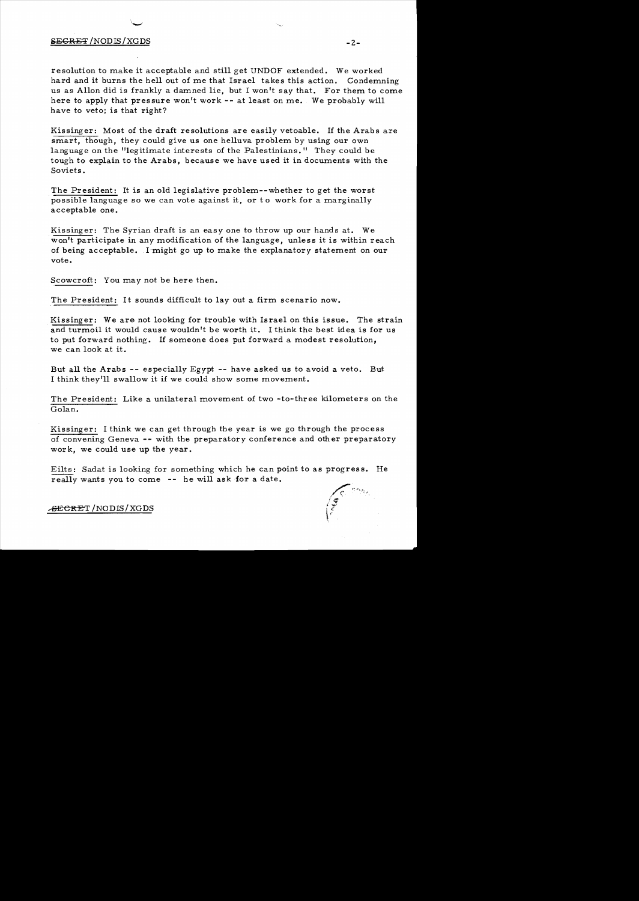#### SECRET /NODIS/XGDS

resolution to make it acceptable and still get UNDOF extended. We worked hard and it burns the hell out of me that Israel takes this action. Condemning us as Allon did is frankly a damned lie, but I won't say that. For them to come here to apply that pressure won't work **--** at least on me. We probably will have to veto; is that right?

Kissinger: Most of the draft resolutions are easily vetoable. If the Arabs are smart, though, *they* could give us one helluva problem *by* using our own language on the "legitimate interests of the Palestinians." They could be tough to explain to the Arabs, because we have used it in documents with the Soviets.

The President: It is an old legislative problem--whether to get the worst possible language so we can vote against it, or to work for a marginally acceptable one.

Kissinger: The Syrian draft is an easy one to throw up our hands at. We won't participate in any modification of the language, unless it is within reach of being acceptable. I might go up to make the explanatory statement on our vote.

Scowcroft: You may not be here then.

The President: It sounds difficult to layout a firm scenario now.

Kissinger: We are not looking for trouble with Israel on this issue. The strain and turmoil it would cause wouldn't be worth it. I think the best idea is for us to put forward nothing. If someone does put forward a modest resolution, we can look at it.

But all the Arabs **--** especially *Egypt* **--** have asked us to avoid a veto. But I think they'll swallow it if we could show some movement.

The President: Like a unilateral movement of two -to-three kilometers on the Golan.

Kissinger: I think we can get through the year is we go through the process of convening Geneva **--** with the preparatory conference and other preparatory work, we could use up the year.

Eilts: Sadat is looking for something which he can point to as progress. He really wants you to come **--** he will ask for a date .

.<del>secre</del>t /NODIS/XGDS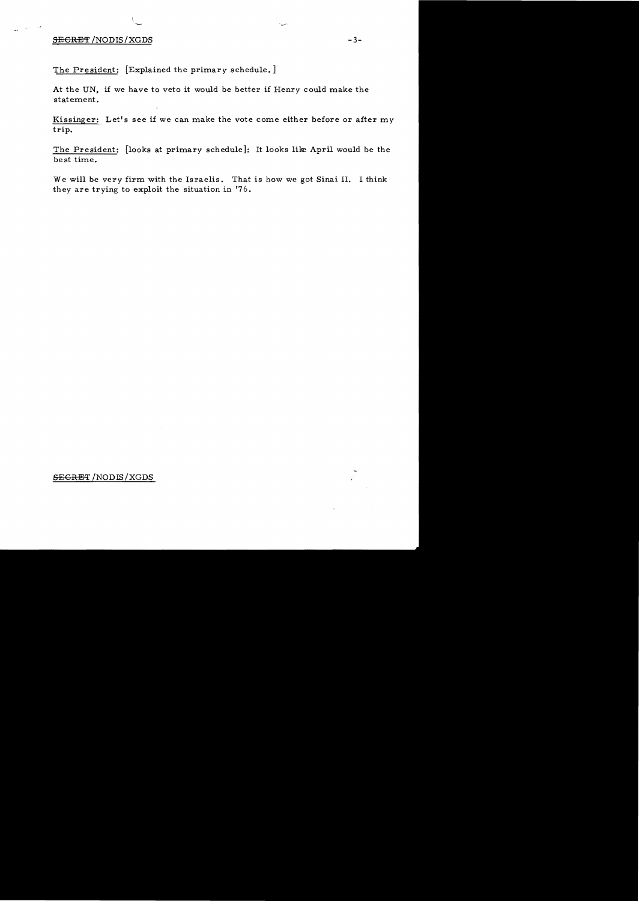#### SEGRET /NODIS/XGDS -3-

 $\gamma_{\rm A}$  is  $\gamma_{\rm A}$  and  $\delta$ 

The President: [Explained the primary schedule.]

At the UN, if we have to veto it would be better if Henry could make the statement.

Kissinger: Let's see if we can make the vote come either before or after my trip.

The President: [looks at primary schedule]: It looks like April would be the best time.

We will be very firm with the Israelis. That is how we got Sinai II. I think they are trying to exploit the situation in '76.

#### SECRET /NODIS/XGDS

 $\frac{1}{\sqrt{2}}$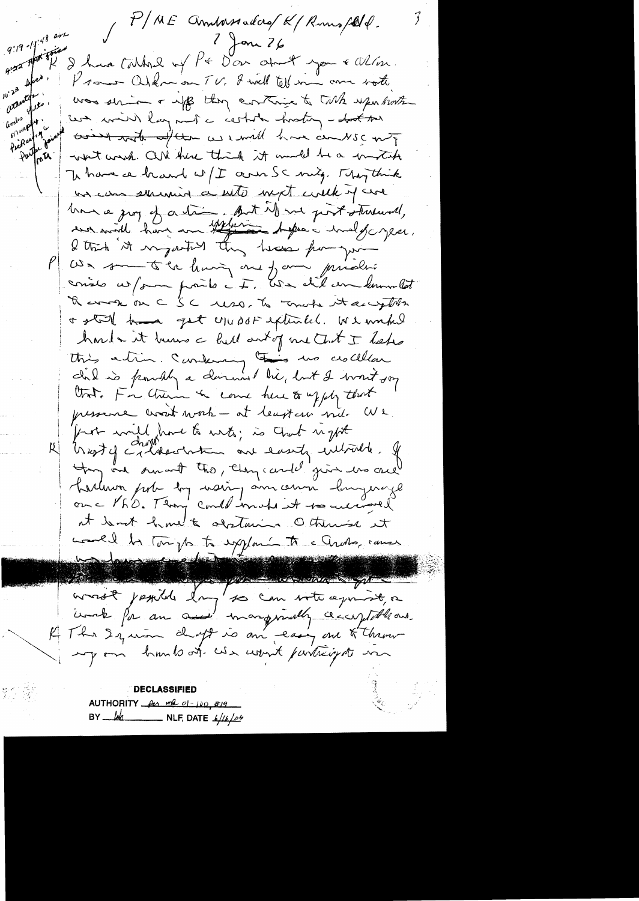P/ME Annhassadors/K/Rums/2014.  $9:19^{-11}$  (48 are  $2 \nmid \mathsf{on} 26$ I have talked of PE Don about you & When. 9:22 HA Prome Orknown TV, I will tell me am sorte  $46<sup>o</sup>$  $10^{12^3}$ asturdy. was strive + up they continue to take upon both  $\psi$ and work . un min) layment a certate hostog - toot son Pickup 49 come with after as mult have combient Partir a what would. CON there think it much he a invitate In have a heard w/I cann SC mig. They think un com surviving a with with with it are Une a jury of a trim but it we just streamed, We somethe having one form privation conste us/om points it, We did un lemmetat Thermome CSC uso, to more starryths a still have got usuast extends. We worked hord - it humo a hell antig me that I heles<br>this artim. Sundering this we crocellar that. For them to come here to upply that pressence work work - at leaster nie We fort will have to with; is that right for one smart the, they cand give we are harlenon porte log mais jam censa longerage at Somt home to destain Otherise et Land de Touright sygland to a Croto, cause wast journed day so can vote agrist, a unde for an one mangemently cecuptable and K The Squim drugt is an easy one to throw un hunts at work fartight me DECLASSIFIED AUTHORITY  $\frac{\rho_{e\lambda} mL \rho_{1}-\rho_{0\lambda}}{\rho_{1}-\rho_{1\lambda}}$  $\frac{1}{4}$  NLF, DATE  $\frac{1}{4}$ BY.